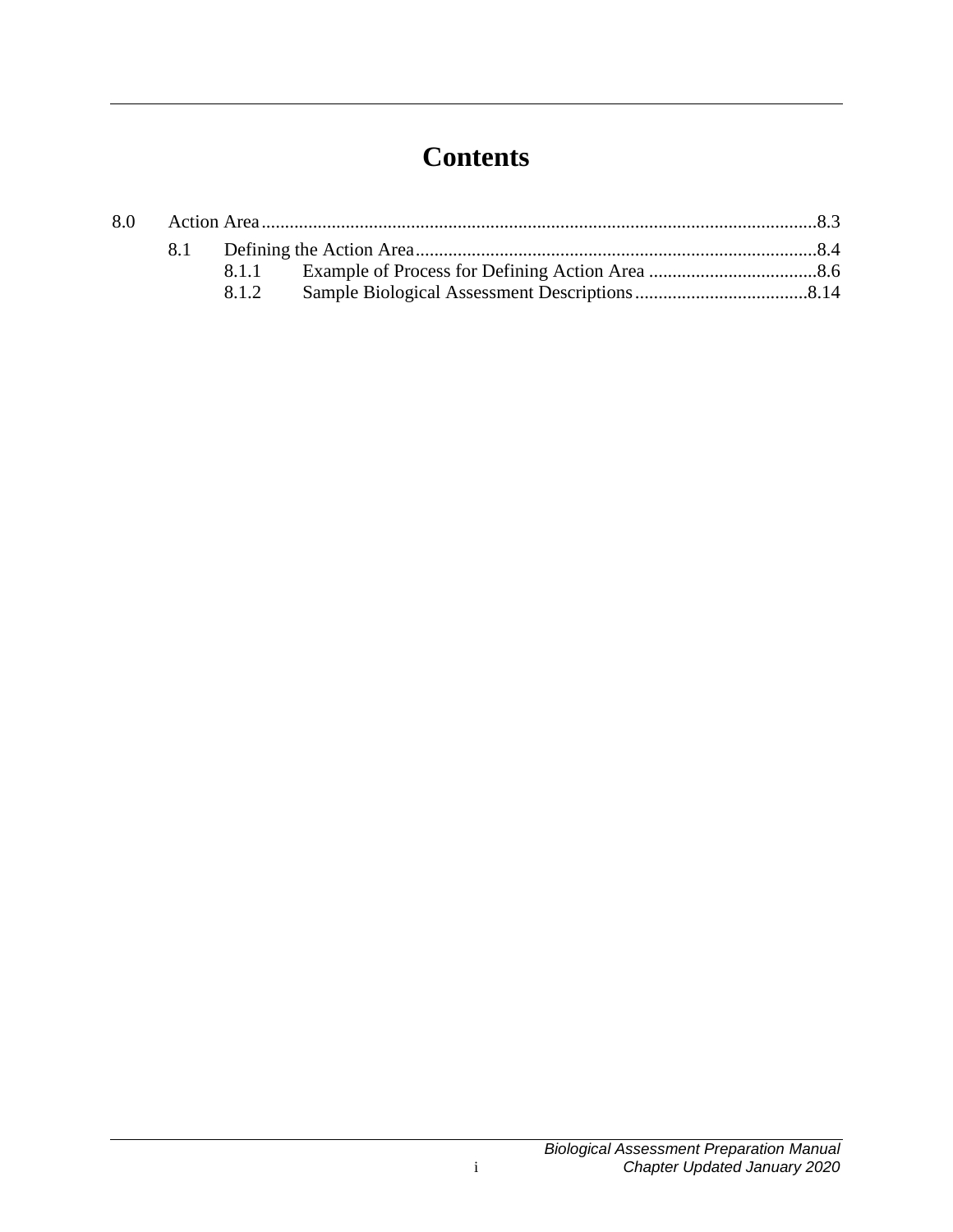# **Contents**

| 8.0 |  |       |  |  |
|-----|--|-------|--|--|
|     |  |       |  |  |
|     |  | 8.1.1 |  |  |
|     |  | 8.1.2 |  |  |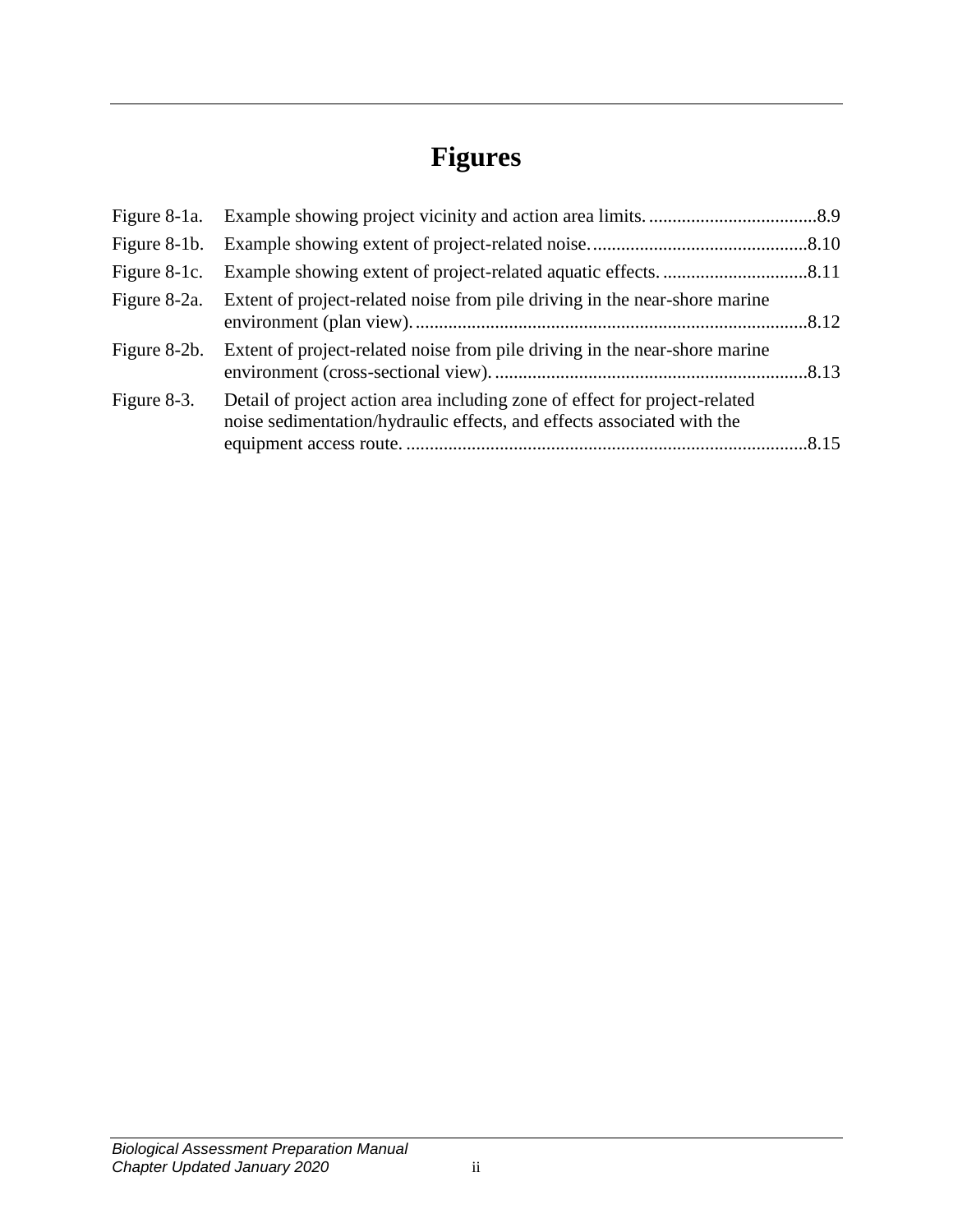# **Figures**

| Figure 8-1c. |                                                                                                                                                      |  |
|--------------|------------------------------------------------------------------------------------------------------------------------------------------------------|--|
|              | Figure 8-2a. Extent of project-related noise from pile driving in the near-shore marine                                                              |  |
| Figure 8-2b. | Extent of project-related noise from pile driving in the near-shore marine                                                                           |  |
| Figure 8-3.  | Detail of project action area including zone of effect for project-related<br>noise sedimentation/hydraulic effects, and effects associated with the |  |
|              |                                                                                                                                                      |  |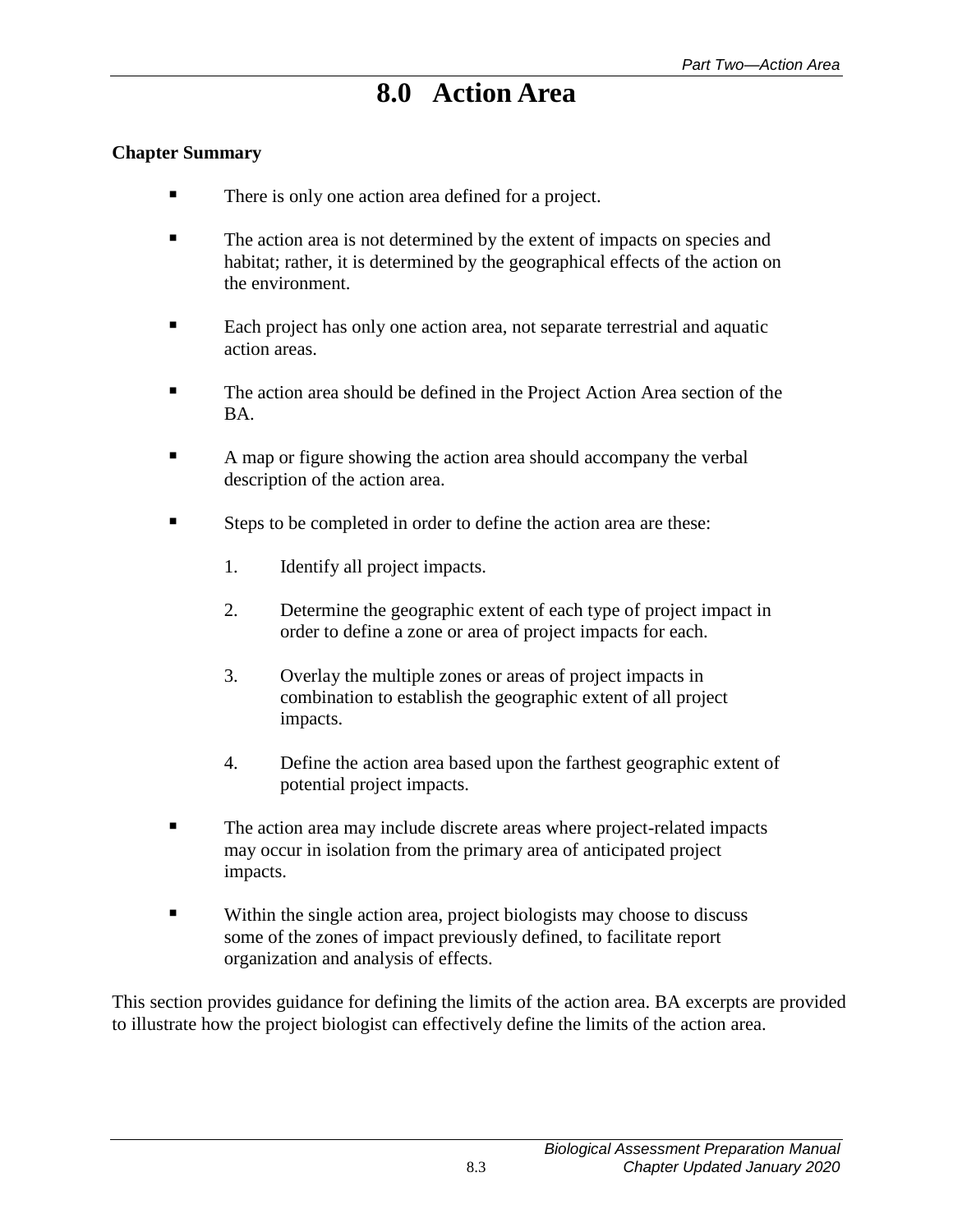# **8.0 Action Area**

#### <span id="page-4-0"></span>**Chapter Summary**

- There is only one action area defined for a project.
- The action area is not determined by the extent of impacts on species and habitat; rather, it is determined by the geographical effects of the action on the environment.
- Each project has only one action area, not separate terrestrial and aquatic action areas.
- The action area should be defined in the Project Action Area section of the BA.
- A map or figure showing the action area should accompany the verbal description of the action area.
- Steps to be completed in order to define the action area are these:
	- 1. Identify all project impacts.
	- 2. Determine the geographic extent of each type of project impact in order to define a zone or area of project impacts for each.
	- 3. Overlay the multiple zones or areas of project impacts in combination to establish the geographic extent of all project impacts.
	- 4. Define the action area based upon the farthest geographic extent of potential project impacts.
- The action area may include discrete areas where project-related impacts may occur in isolation from the primary area of anticipated project impacts.
- **Within the single action area, project biologists may choose to discuss** some of the zones of impact previously defined, to facilitate report organization and analysis of effects.

This section provides guidance for defining the limits of the action area. BA excerpts are provided to illustrate how the project biologist can effectively define the limits of the action area.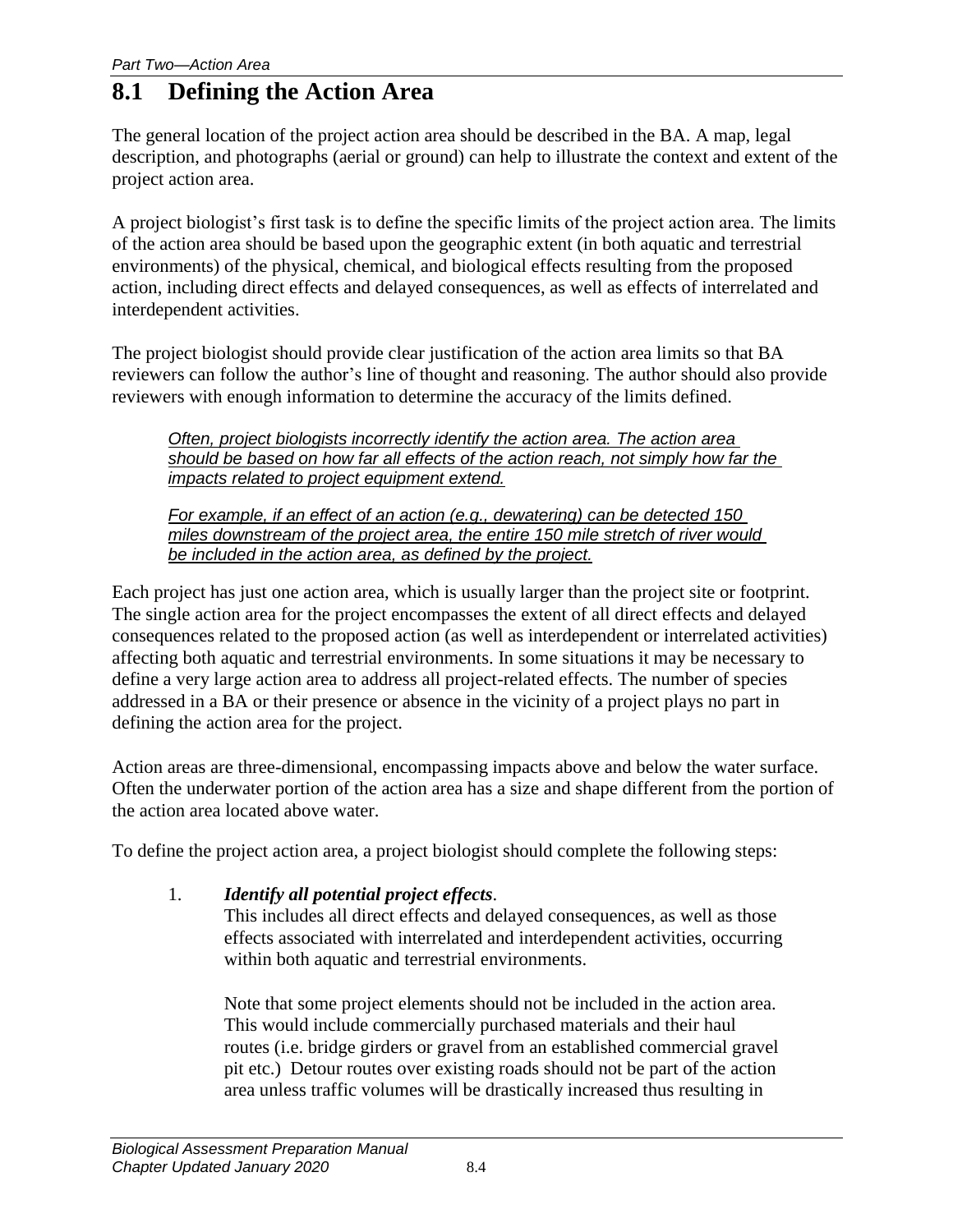# <span id="page-5-0"></span>**8.1 Defining the Action Area**

The general location of the project action area should be described in the BA. A map, legal description, and photographs (aerial or ground) can help to illustrate the context and extent of the project action area.

A project biologist's first task is to define the specific limits of the project action area. The limits of the action area should be based upon the geographic extent (in both aquatic and terrestrial environments) of the physical, chemical, and biological effects resulting from the proposed action, including direct effects and delayed consequences, as well as effects of interrelated and interdependent activities.

The project biologist should provide clear justification of the action area limits so that BA reviewers can follow the author's line of thought and reasoning. The author should also provide reviewers with enough information to determine the accuracy of the limits defined.

*Often, project biologists incorrectly identify the action area. The action area should be based on how far all effects of the action reach, not simply how far the impacts related to project equipment extend.*

*For example, if an effect of an action (e.g., dewatering) can be detected 150 miles downstream of the project area, the entire 150 mile stretch of river would be included in the action area, as defined by the project.*

Each project has just one action area, which is usually larger than the project site or footprint. The single action area for the project encompasses the extent of all direct effects and delayed consequences related to the proposed action (as well as interdependent or interrelated activities) affecting both aquatic and terrestrial environments. In some situations it may be necessary to define a very large action area to address all project-related effects. The number of species addressed in a BA or their presence or absence in the vicinity of a project plays no part in defining the action area for the project.

Action areas are three-dimensional, encompassing impacts above and below the water surface. Often the underwater portion of the action area has a size and shape different from the portion of the action area located above water.

To define the project action area, a project biologist should complete the following steps:

1. *Identify all potential project effects*.

This includes all direct effects and delayed consequences, as well as those effects associated with interrelated and interdependent activities, occurring within both aquatic and terrestrial environments.

Note that some project elements should not be included in the action area. This would include commercially purchased materials and their haul routes (i.e. bridge girders or gravel from an established commercial gravel pit etc.) Detour routes over existing roads should not be part of the action area unless traffic volumes will be drastically increased thus resulting in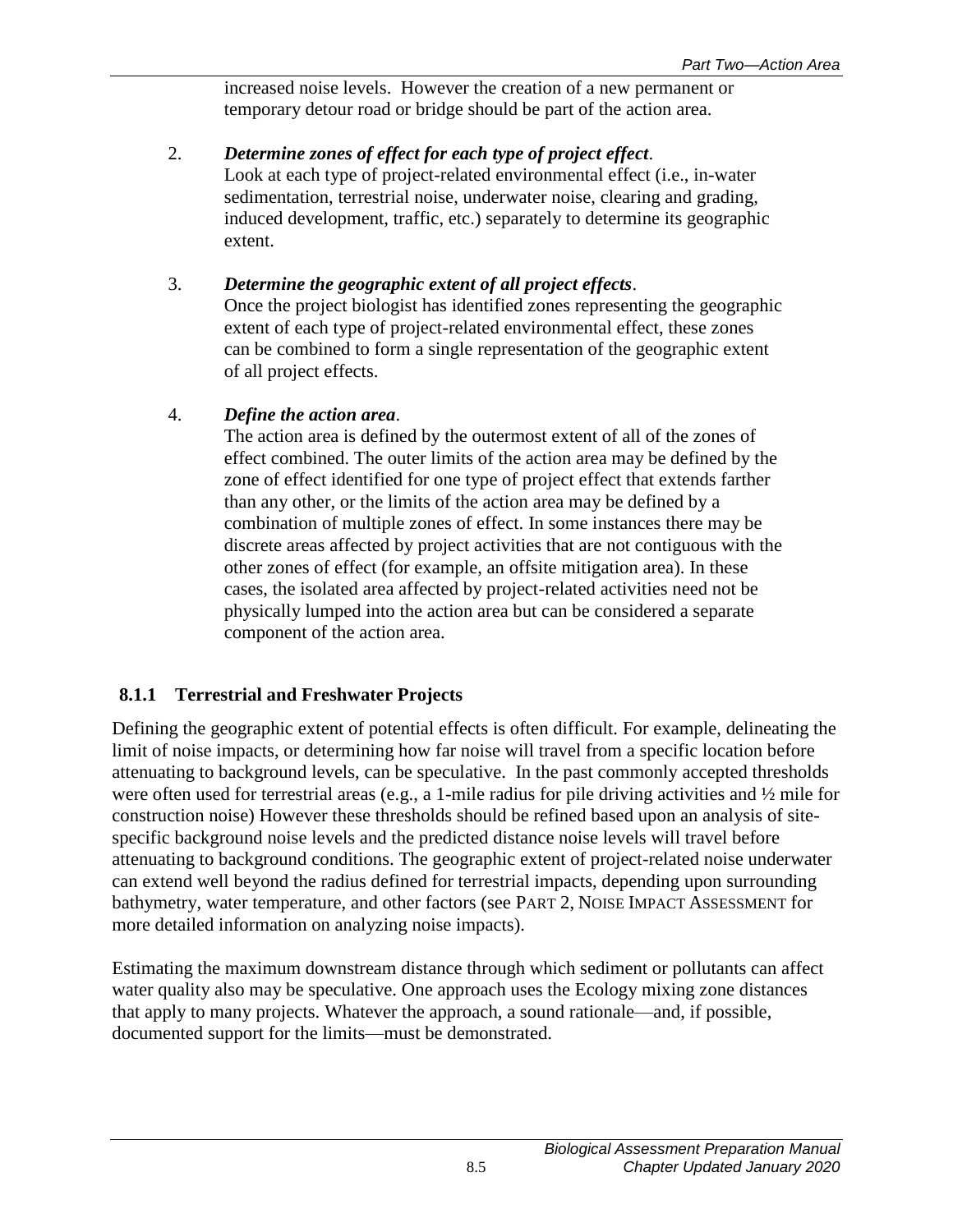increased noise levels. However the creation of a new permanent or temporary detour road or bridge should be part of the action area.

#### 2. *Determine zones of effect for each type of project effect*. Look at each type of project-related environmental effect (i.e., in-water sedimentation, terrestrial noise, underwater noise, clearing and grading, induced development, traffic, etc.) separately to determine its geographic extent.

### 3. *Determine the geographic extent of all project effects*.

Once the project biologist has identified zones representing the geographic extent of each type of project-related environmental effect, these zones can be combined to form a single representation of the geographic extent of all project effects.

### 4. *Define the action area*.

The action area is defined by the outermost extent of all of the zones of effect combined. The outer limits of the action area may be defined by the zone of effect identified for one type of project effect that extends farther than any other, or the limits of the action area may be defined by a combination of multiple zones of effect. In some instances there may be discrete areas affected by project activities that are not contiguous with the other zones of effect (for example, an offsite mitigation area). In these cases, the isolated area affected by project-related activities need not be physically lumped into the action area but can be considered a separate component of the action area.

## **8.1.1 Terrestrial and Freshwater Projects**

Defining the geographic extent of potential effects is often difficult. For example, delineating the limit of noise impacts, or determining how far noise will travel from a specific location before attenuating to background levels, can be speculative. In the past commonly accepted thresholds were often used for terrestrial areas (e.g., a 1-mile radius for pile driving activities and ½ mile for construction noise) However these thresholds should be refined based upon an analysis of sitespecific background noise levels and the predicted distance noise levels will travel before attenuating to background conditions. The geographic extent of project-related noise underwater can extend well beyond the radius defined for terrestrial impacts, depending upon surrounding bathymetry, water temperature, and other factors (see PART 2, NOISE IMPACT ASSESSMENT for more detailed information on analyzing noise impacts).

Estimating the maximum downstream distance through which sediment or pollutants can affect water quality also may be speculative. One approach uses the Ecology mixing zone distances that apply to many projects. Whatever the approach, a sound rationale—and, if possible, documented support for the limits—must be demonstrated.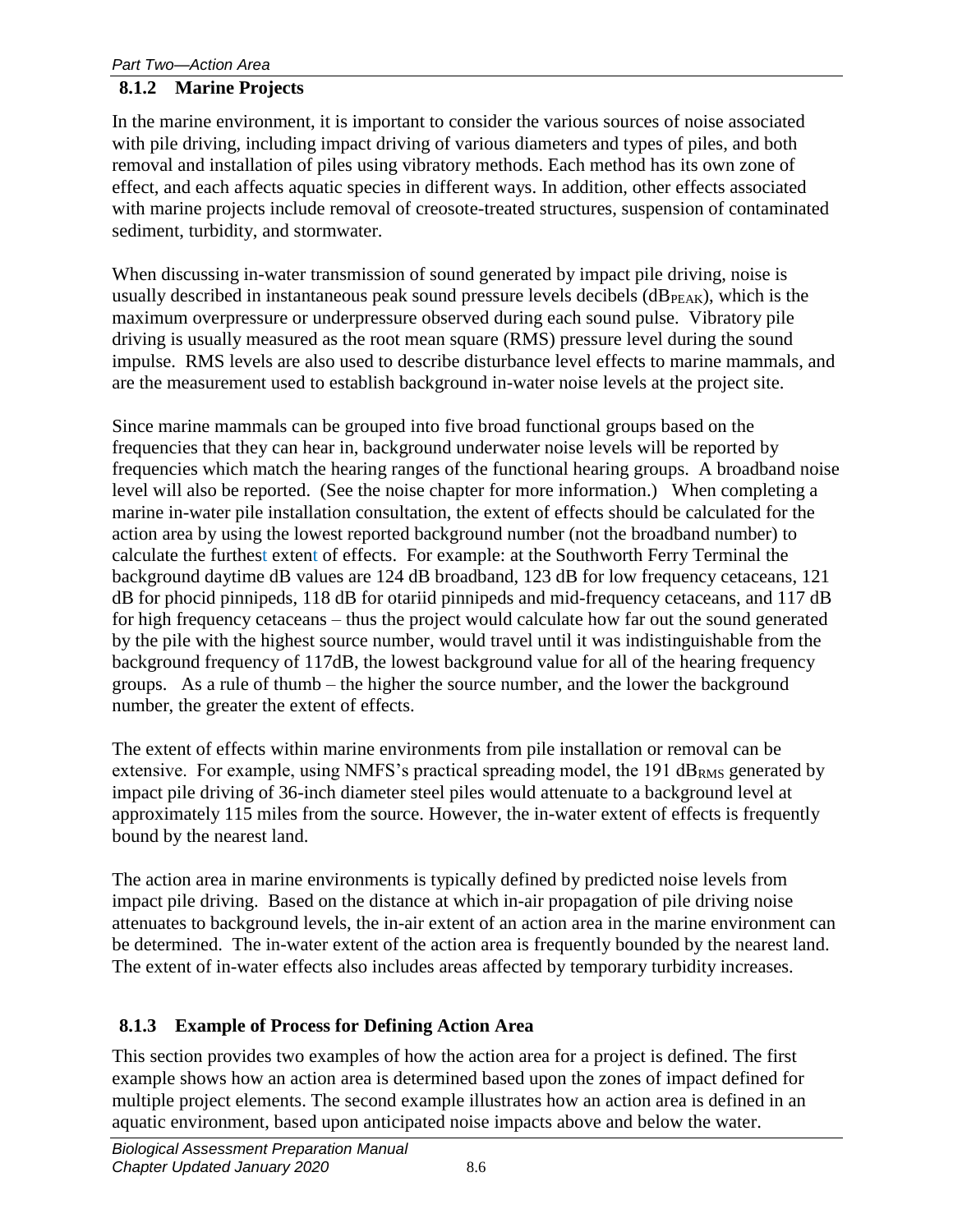#### **8.1.2 Marine Projects**

In the marine environment, it is important to consider the various sources of noise associated with pile driving, including impact driving of various diameters and types of piles, and both removal and installation of piles using vibratory methods. Each method has its own zone of effect, and each affects aquatic species in different ways. In addition, other effects associated with marine projects include removal of creosote-treated structures, suspension of contaminated sediment, turbidity, and stormwater.

When discussing in-water transmission of sound generated by impact pile driving, noise is usually described in instantaneous peak sound pressure levels decibels  $(dB_{PEAK})$ , which is the maximum overpressure or underpressure observed during each sound pulse. Vibratory pile driving is usually measured as the root mean square (RMS) pressure level during the sound impulse. RMS levels are also used to describe disturbance level effects to marine mammals, and are the measurement used to establish background in-water noise levels at the project site.

Since marine mammals can be grouped into five broad functional groups based on the frequencies that they can hear in, background underwater noise levels will be reported by frequencies which match the hearing ranges of the functional hearing groups. A broadband noise level will also be reported. (See the noise chapter for more information.) When completing a marine in-water pile installation consultation, the extent of effects should be calculated for the action area by using the lowest reported background number (not the broadband number) to calculate the furthest extent of effects. For example: at the Southworth Ferry Terminal the background daytime dB values are 124 dB broadband, 123 dB for low frequency cetaceans, 121 dB for phocid pinnipeds, 118 dB for otariid pinnipeds and mid-frequency cetaceans, and 117 dB for high frequency cetaceans – thus the project would calculate how far out the sound generated by the pile with the highest source number, would travel until it was indistinguishable from the background frequency of 117dB, the lowest background value for all of the hearing frequency groups. As a rule of thumb – the higher the source number, and the lower the background number, the greater the extent of effects.

The extent of effects within marine environments from pile installation or removal can be extensive. For example, using NMFS's practical spreading model, the  $191$  dB<sub>RMS</sub> generated by impact pile driving of 36-inch diameter steel piles would attenuate to a background level at approximately 115 miles from the source. However, the in-water extent of effects is frequently bound by the nearest land.

The action area in marine environments is typically defined by predicted noise levels from impact pile driving. Based on the distance at which in-air propagation of pile driving noise attenuates to background levels, the in-air extent of an action area in the marine environment can be determined. The in-water extent of the action area is frequently bounded by the nearest land. The extent of in-water effects also includes areas affected by temporary turbidity increases.

### <span id="page-7-0"></span>**8.1.3 Example of Process for Defining Action Area**

This section provides two examples of how the action area for a project is defined. The first example shows how an action area is determined based upon the zones of impact defined for multiple project elements. The second example illustrates how an action area is defined in an aquatic environment, based upon anticipated noise impacts above and below the water.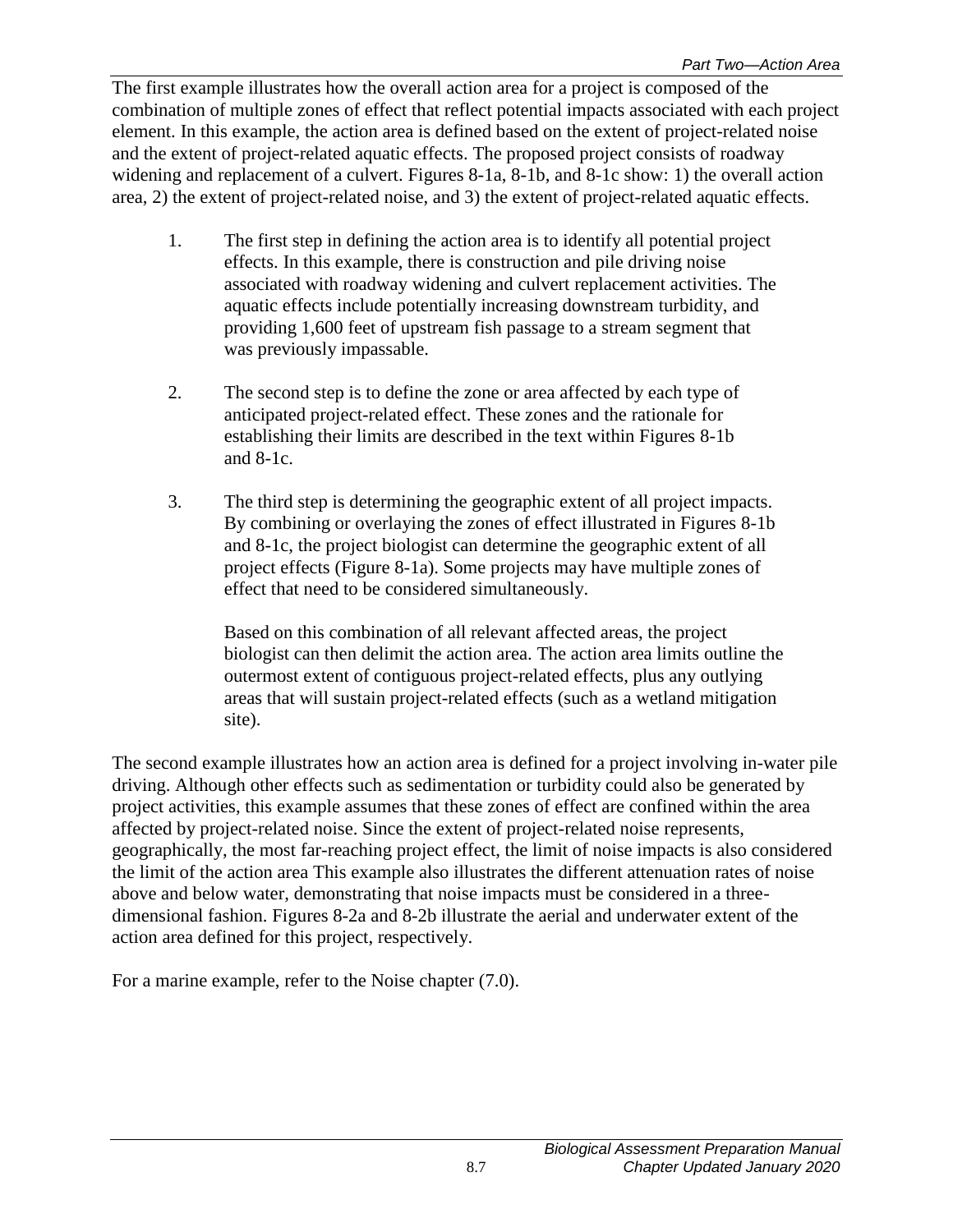The first example illustrates how the overall action area for a project is composed of the combination of multiple zones of effect that reflect potential impacts associated with each project element. In this example, the action area is defined based on the extent of project-related noise and the extent of project-related aquatic effects. The proposed project consists of roadway widening and replacement of a culvert. Figures 8-1a, 8-1b, and 8-1c show: 1) the overall action area, 2) the extent of project-related noise, and 3) the extent of project-related aquatic effects.

- 1. The first step in defining the action area is to identify all potential project effects. In this example, there is construction and pile driving noise associated with roadway widening and culvert replacement activities. The aquatic effects include potentially increasing downstream turbidity, and providing 1,600 feet of upstream fish passage to a stream segment that was previously impassable.
- 2. The second step is to define the zone or area affected by each type of anticipated project-related effect. These zones and the rationale for establishing their limits are described in the text within Figures 8-1b and 8-1c.
- 3. The third step is determining the geographic extent of all project impacts. By combining or overlaying the zones of effect illustrated in Figures 8-1b and 8-1c, the project biologist can determine the geographic extent of all project effects (Figure 8-1a). Some projects may have multiple zones of effect that need to be considered simultaneously.

Based on this combination of all relevant affected areas, the project biologist can then delimit the action area. The action area limits outline the outermost extent of contiguous project-related effects, plus any outlying areas that will sustain project-related effects (such as a wetland mitigation site).

The second example illustrates how an action area is defined for a project involving in-water pile driving. Although other effects such as sedimentation or turbidity could also be generated by project activities, this example assumes that these zones of effect are confined within the area affected by project-related noise. Since the extent of project-related noise represents, geographically, the most far-reaching project effect, the limit of noise impacts is also considered the limit of the action area This example also illustrates the different attenuation rates of noise above and below water, demonstrating that noise impacts must be considered in a threedimensional fashion. Figures 8-2a and 8-2b illustrate the aerial and underwater extent of the action area defined for this project, respectively.

For a marine example, refer to the Noise chapter (7.0).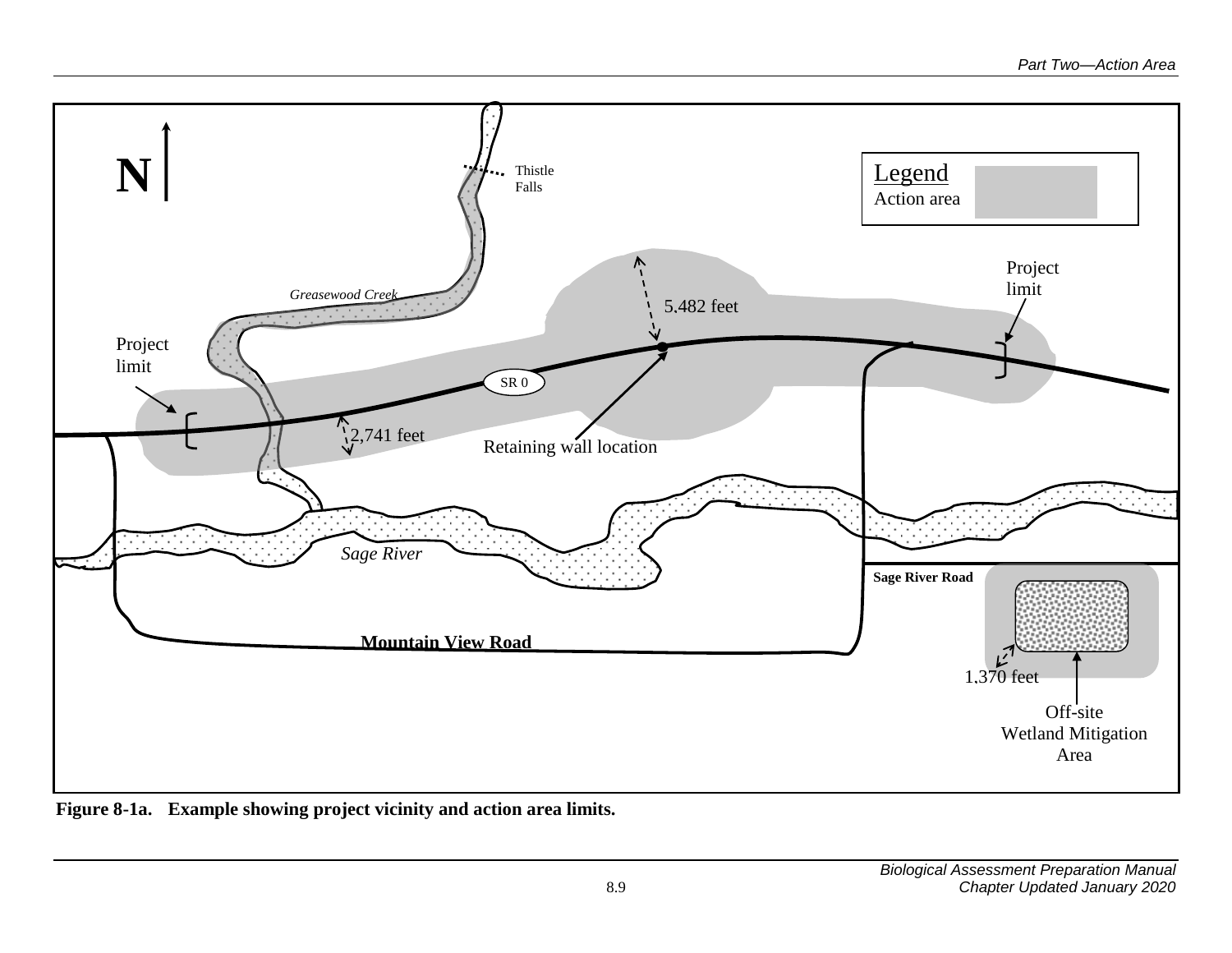

<span id="page-10-0"></span>**Figure 8-1a. Example showing project vicinity and action area limits.**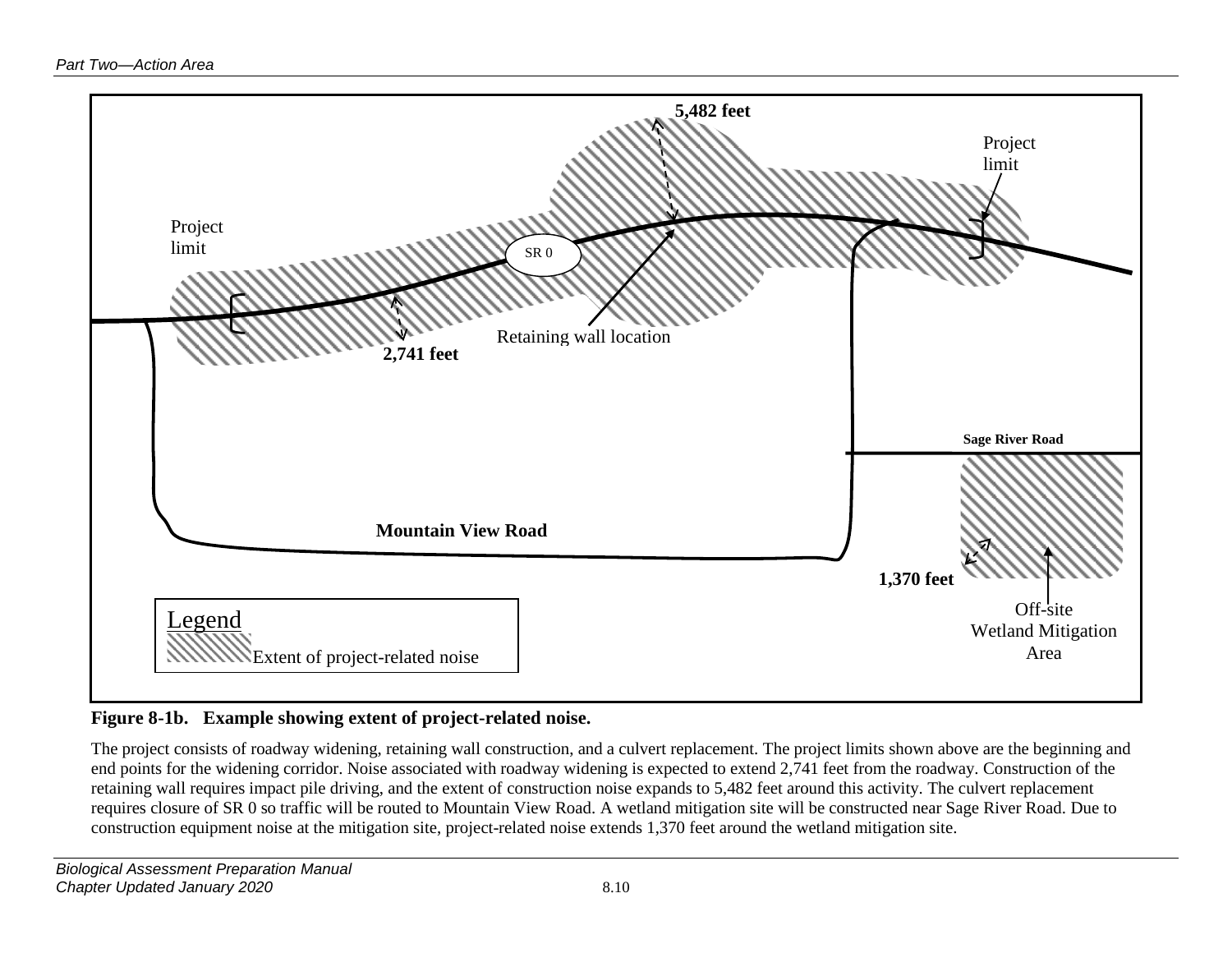

### **Figure 8-1b. Example showing extent of project-related noise.**

<span id="page-11-0"></span>The project consists of roadway widening, retaining wall construction, and a culvert replacement. The project limits shown above are the beginning and end points for the widening corridor. Noise associated with roadway widening is expected to extend 2,741 feet from the roadway. Construction of the retaining wall requires impact pile driving, and the extent of construction noise expands to 5,482 feet around this activity. The culvert replacement requires closure of SR 0 so traffic will be routed to Mountain View Road. A wetland mitigation site will be constructed near Sage River Road. Due to construction equipment noise at the mitigation site, project-related noise extends 1,370 feet around the wetland mitigation site.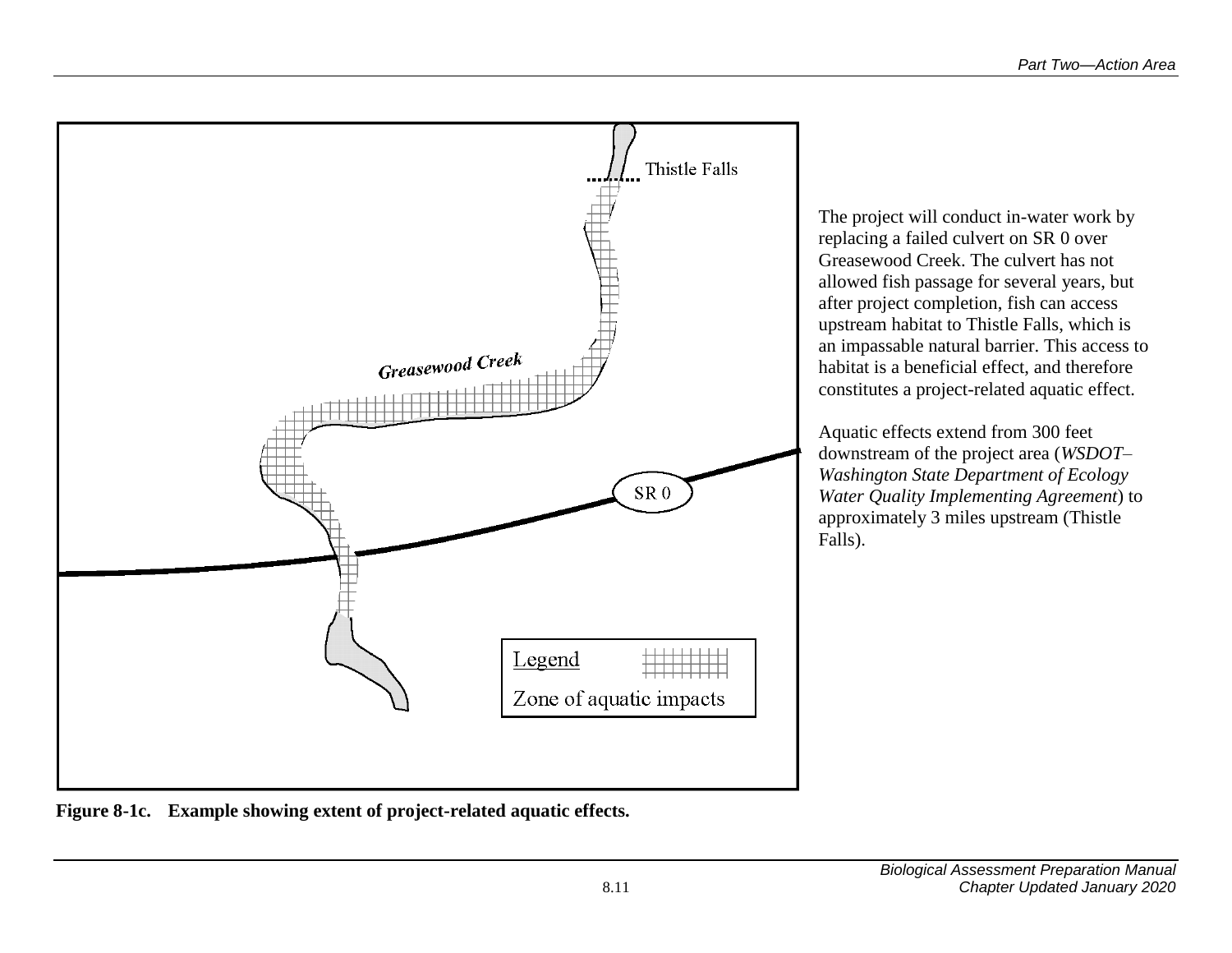

<span id="page-12-0"></span>**Figure 8-1c. Example showing extent of project-related aquatic effects.**

The project will conduct in-water work by replacing a failed culvert on SR 0 over Greasewood Creek. The culvert has not allowed fish passage for several years, but after project completion, fish can access upstream habitat to Thistle Falls, which is an impassable natural barrier. This access to habitat is a beneficial effect, and therefore constitutes a project-related aquatic effect.

Aquatic effects extend from 300 feet downstream of the project area (*WSDOT– Washington State Department of Ecology Water Quality Implementing Agreement*) to approximately 3 miles upstream (Thistle Falls).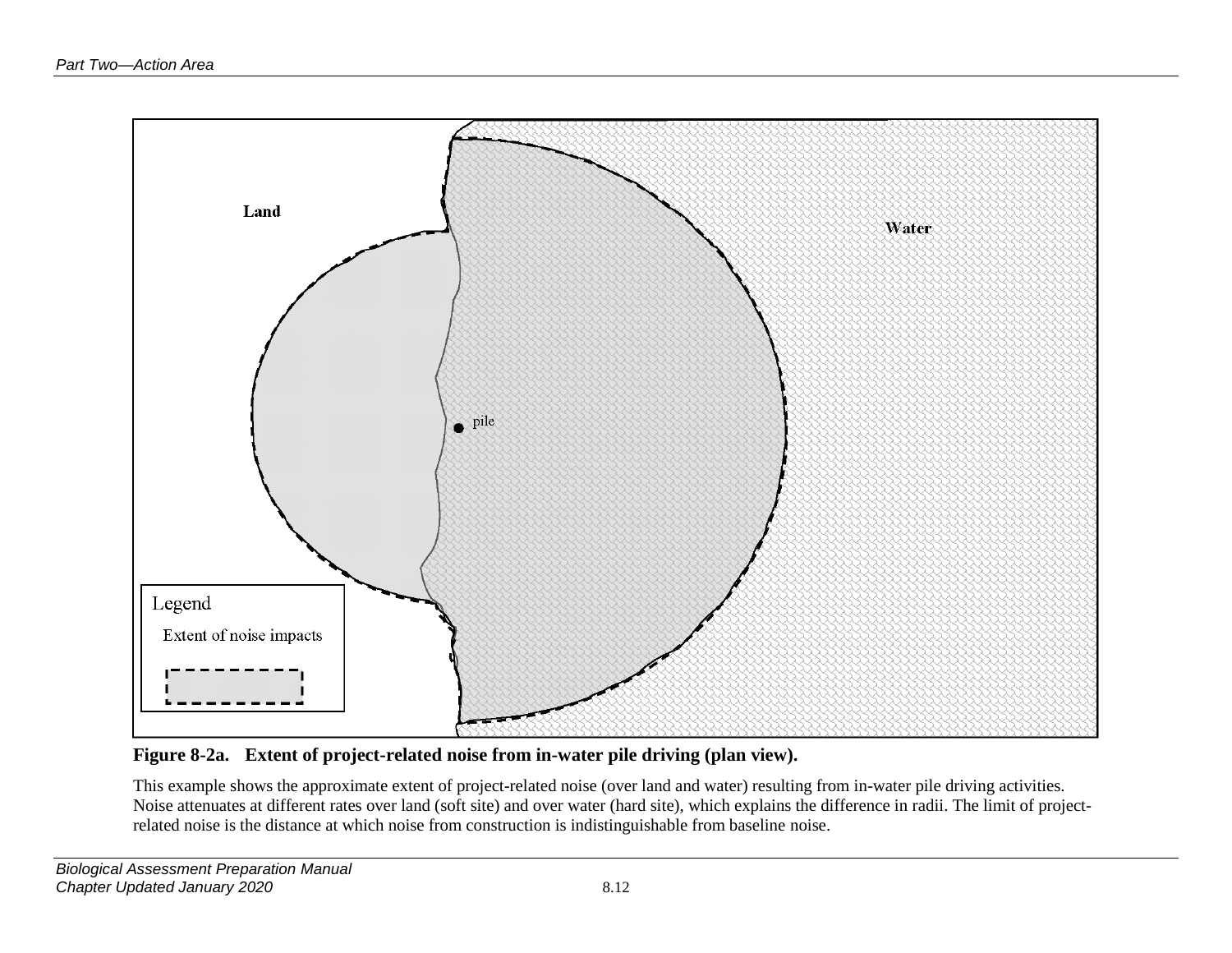

**Figure 8-2a. Extent of project-related noise from in-water pile driving (plan view).**

<span id="page-13-0"></span>This example shows the approximate extent of project-related noise (over land and water) resulting from in-water pile driving activities. Noise attenuates at different rates over land (soft site) and over water (hard site), which explains the difference in radii. The limit of projectrelated noise is the distance at which noise from construction is indistinguishable from baseline noise.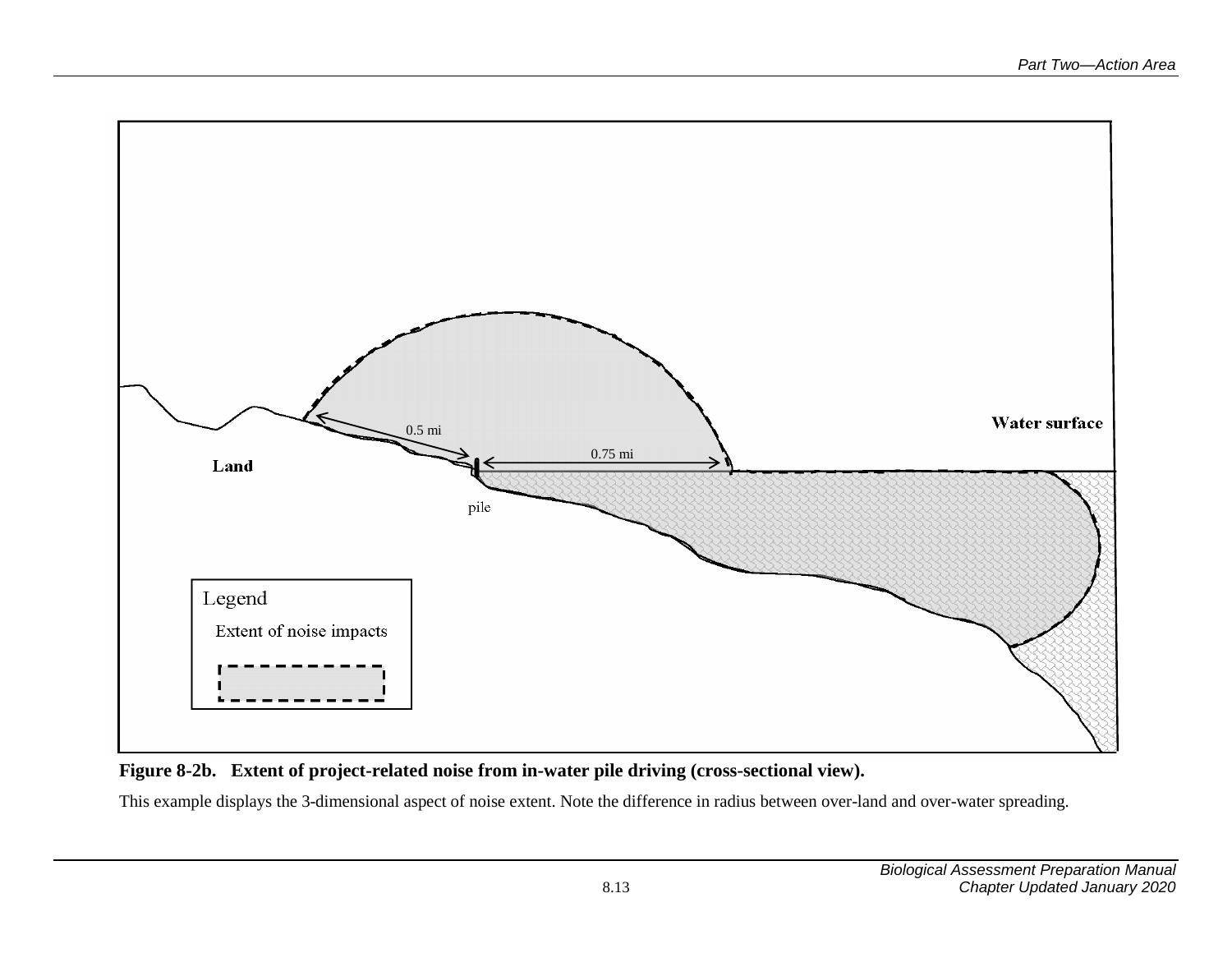

#### **Figure 8-2b. Extent of project-related noise from in-water pile driving (cross-sectional view).**

<span id="page-14-0"></span>This example displays the 3-dimensional aspect of noise extent. Note the difference in radius between over-land and over-water spreading.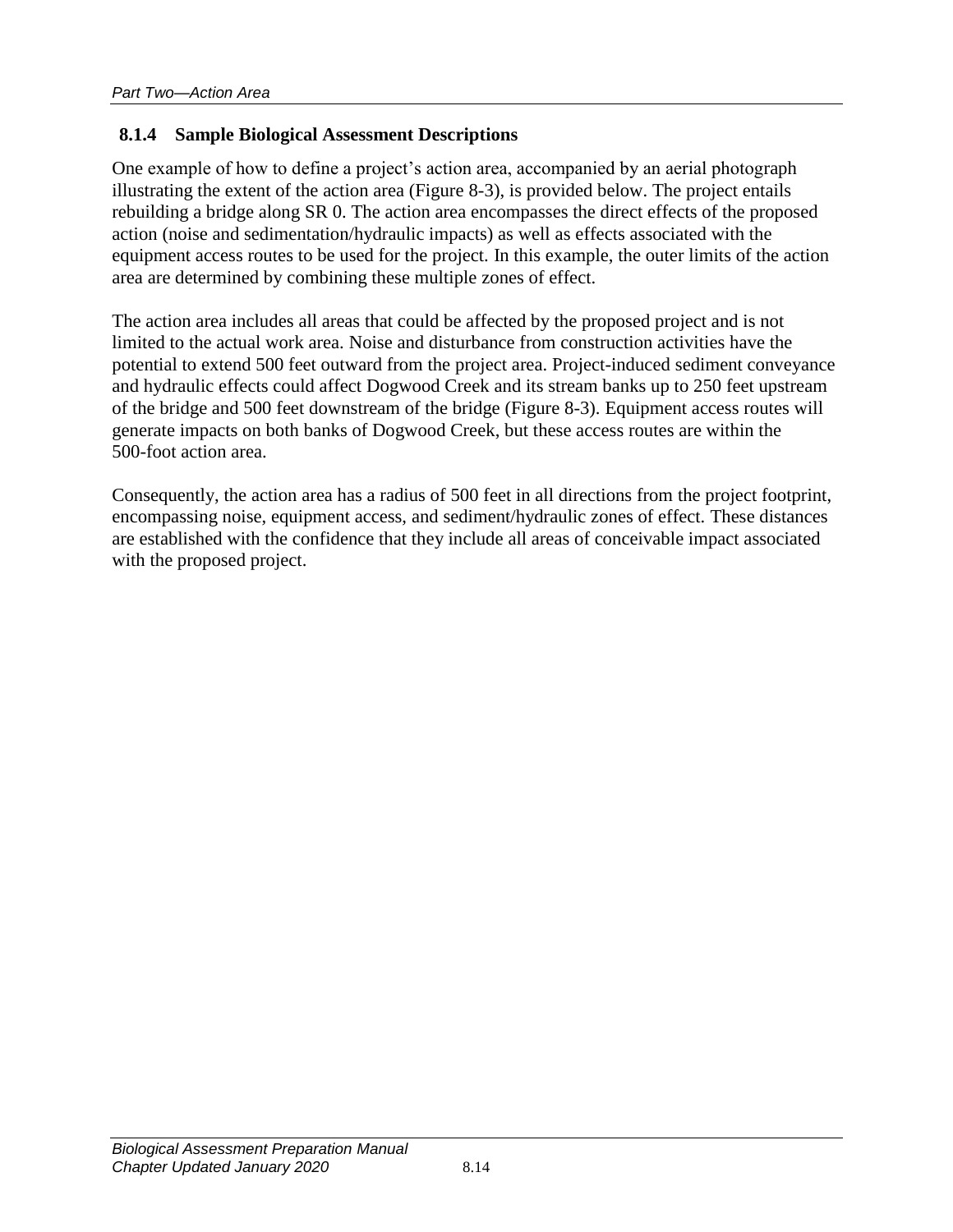#### <span id="page-15-0"></span>**8.1.4 Sample Biological Assessment Descriptions**

One example of how to define a project's action area, accompanied by an aerial photograph illustrating the extent of the action area (Figure 8-3), is provided below. The project entails rebuilding a bridge along SR 0. The action area encompasses the direct effects of the proposed action (noise and sedimentation/hydraulic impacts) as well as effects associated with the equipment access routes to be used for the project. In this example, the outer limits of the action area are determined by combining these multiple zones of effect.

The action area includes all areas that could be affected by the proposed project and is not limited to the actual work area. Noise and disturbance from construction activities have the potential to extend 500 feet outward from the project area. Project-induced sediment conveyance and hydraulic effects could affect Dogwood Creek and its stream banks up to 250 feet upstream of the bridge and 500 feet downstream of the bridge (Figure 8-3). Equipment access routes will generate impacts on both banks of Dogwood Creek, but these access routes are within the 500-foot action area.

Consequently, the action area has a radius of 500 feet in all directions from the project footprint, encompassing noise, equipment access, and sediment/hydraulic zones of effect. These distances are established with the confidence that they include all areas of conceivable impact associated with the proposed project.